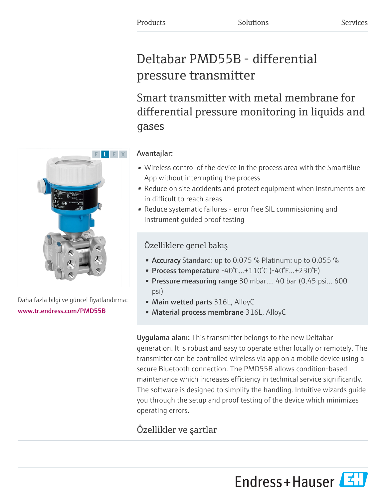# Deltabar PMD55B - differential pressure transmitter

Smart transmitter with metal membrane for differential pressure monitoring in liquids and gases



Daha fazla bilgi ve güncel fiyatlandırma: [www.tr.endress.com/PMD55B](https://www.tr.endress.com/PMD55B)

## Avantajlar:

- Wireless control of the device in the process area with the SmartBlue App without interrupting the process
- Reduce on site accidents and protect equipment when instruments are in difficult to reach areas
- Reduce systematic failures error free SIL commissioning and instrument guided proof testing

## Özelliklere genel bakış

- Accuracy Standard: up to 0.075 % Platinum: up to 0.055 %
- Process temperature  $-40^{\circ}$ C... $+110^{\circ}$ C ( $-40^{\circ}$ F... $+230^{\circ}$ F)
- Pressure measuring range 30 mbar.... 40 bar (0.45 psi... 600 psi)
- Main wetted parts 316L, AlloyC
- Material process membrane 316L, AlloyC

Uygulama alanı: This transmitter belongs to the new Deltabar generation. It is robust and easy to operate either locally or remotely. The transmitter can be controlled wireless via app on a mobile device using a secure Bluetooth connection. The PMD55B allows condition-based maintenance which increases efficiency in technical service significantly. The software is designed to simplify the handling. Intuitive wizards guide you through the setup and proof testing of the device which minimizes operating errors.

## Özellikler ve şartlar

Endress+Hauser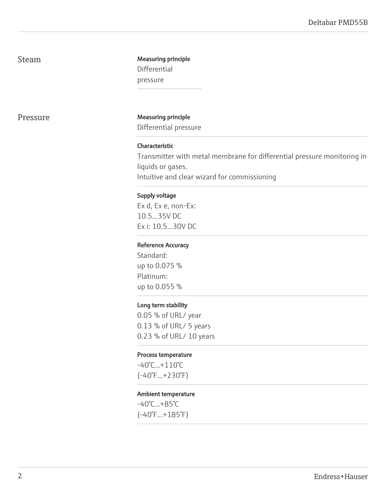## Steam Measuring principle

Differential pressure

Pressure Measuring principle

Differential pressure

#### Characteristic

Transmitter with metal membrane for differential pressure monitoring in liquids or gases. Intuitive and clear wizard for commissioning

#### Supply voltage

Ex d, Ex e, non-Ex: 10.5...35V DC Ex i: 10.5...30V DC

#### Reference Accuracy

Standard: up to 0.075 % Platinum: up to 0.055 %

#### Long term stability

0.05 % of URL/ year 0.13 % of URL/ 5 years 0.23 % of URL/ 10 years

#### Process temperature

-40°C...+110°C (-40°F...+230°F)

#### Ambient temperature

-40°C...+85°C (-40°F...+185°F)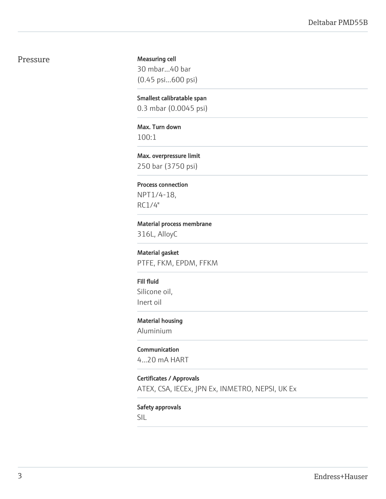#### Pressure

Measuring cell 30 mbar...40 bar (0.45 psi...600 psi)

Smallest calibratable span 0.3 mbar (0.0045 psi)

Max. Turn down 100:1

Max. overpressure limit 250 bar (3750 psi)

Process connection NPT1/4-18, RC1/4"

Material process membrane

316L, AlloyC

Material gasket PTFE, FKM, EPDM, FFKM

Fill fluid Silicone oil, Inert oil

Material housing Aluminium

Communication 4...20 mA HART

Certificates / Approvals

ATEX, CSA, IECEx, JPN Ex, INMETRO, NEPSI, UK Ex

Safety approvals

SIL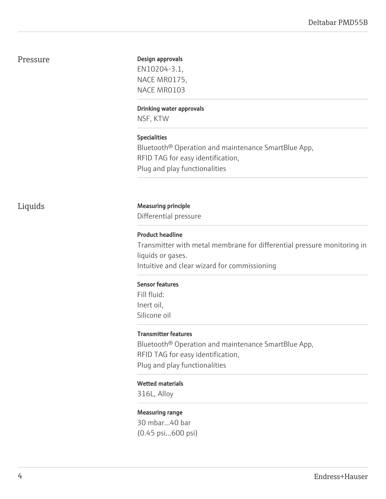### Pressure

#### Design approvals

EN10204-3.1, NACE MR0175, NACE MR0103

#### Drinking water approvals

NSF, KTW

#### Specialities

Bluetooth® Operation and maintenance SmartBlue App, RFID TAG for easy identification, Plug and play functionalities

### Liquids Measuring principle

Differential pressure

#### Product headline

Transmitter with metal membrane for differential pressure monitoring in liquids or gases. Intuitive and clear wizard for commissioning

#### Sensor features

Fill fluid: Inert oil, Silicone oil

#### Transmitter features

Bluetooth® Operation and maintenance SmartBlue App, RFID TAG for easy identification, Plug and play functionalities

#### Wetted materials

316L, Alloy

#### Measuring range

30 mbar...40 bar (0.45 psi...600 psi)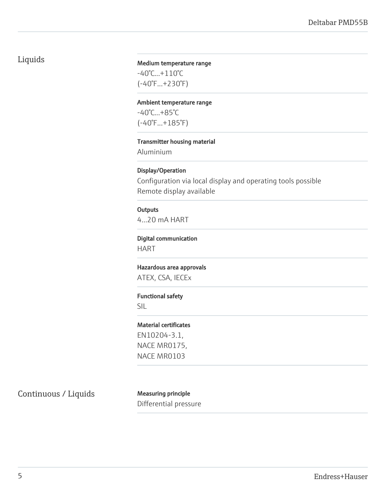## Liquids

#### Medium temperature range

-40°C...+110°C (-40°F...+230°F)

#### Ambient temperature range

-40°C...+85°C (-40°F...+185°F)

#### Transmitter housing material

Aluminium

#### Display/Operation

Configuration via local display and operating tools possible Remote display available

#### **Outputs** 4...20 mA HART

#### Digital communication

HART

Hazardous area approvals ATEX, CSA, IECEx

## Functional safety

SIL

#### Material certificates

EN10204-3.1, NACE MR0175, NACE MR0103

Continuous / Liquids Measuring principle

Differential pressure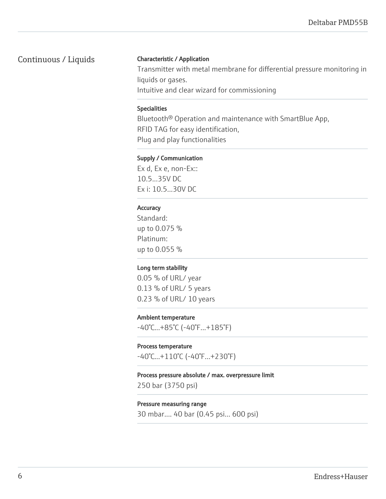### Continuous / Liquids

#### Characteristic / Application

Transmitter with metal membrane for differential pressure monitoring in liquids or gases. Intuitive and clear wizard for commissioning

#### Specialities

Bluetooth® Operation and maintenance with SmartBlue App, RFID TAG for easy identification, Plug and play functionalities

#### Supply / Communication

Ex d, Ex e, non-Ex:: 10.5...35V DC Ex i: 10.5...30V DC

#### **Accuracy**

Standard: up to 0.075 % Platinum: up to 0.055 %

#### Long term stability

0.05 % of URL/ year 0.13 % of URL/ 5 years 0.23 % of URL/ 10 years

#### Ambient temperature

-40°C...+85°C (-40°F...+185°F)

#### Process temperature

-40°C...+110°C (-40°F...+230°F)

#### Process pressure absolute / max. overpressure limit

250 bar (3750 psi)

#### Pressure measuring range

30 mbar.... 40 bar (0.45 psi... 600 psi)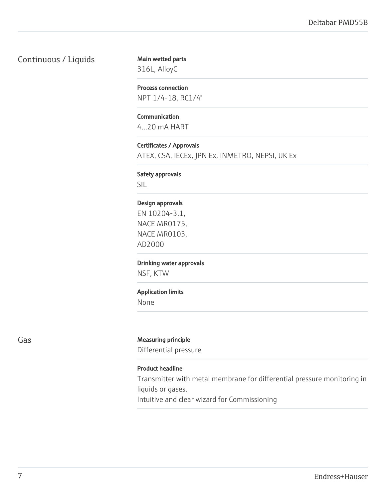## Continuous / Liquids

Main wetted parts 316L, AlloyC

Process connection NPT 1/4-18, RC1/4"

Communication 4...20 mA HART

Certificates / Approvals ATEX, CSA, IECEx, JPN Ex, INMETRO, NEPSI, UK Ex

Safety approvals

SIL

#### Design approvals

EN 10204-3.1, NACE MR0175, NACE MR0103, AD2000

Drinking water approvals

NSF, KTW

#### Application limits

None

#### Gas Gas **Measuring principle**

Differential pressure

#### Product headline

Transmitter with metal membrane for differential pressure monitoring in liquids or gases.

Intuitive and clear wizard for Commissioning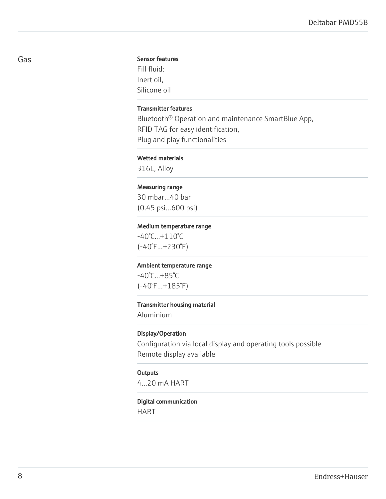#### Sensor features

Fill fluid: Inert oil, Silicone oil

#### Transmitter features

Bluetooth® Operation and maintenance SmartBlue App, RFID TAG for easy identification, Plug and play functionalities

#### Wetted materials

316L, Alloy

#### Measuring range

30 mbar...40 bar (0.45 psi...600 psi)

#### Medium temperature range

-40°C...+110°C (-40°F...+230°F)

#### Ambient temperature range

-40°C...+85°C (-40°F...+185°F)

#### Transmitter housing material

Aluminium

#### Display/Operation

Configuration via local display and operating tools possible Remote display available

#### **Outputs**

4...20 mA HART

#### Digital communication

HART